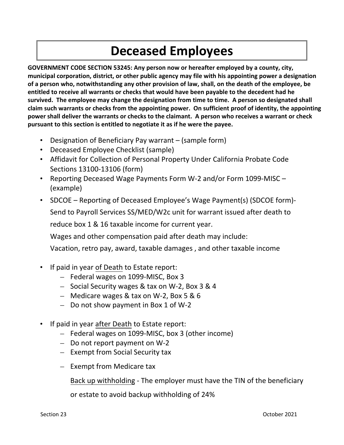# **Deceased Employees**

**GOVERNMENT CODE SECTION 53245: Any person now or hereafter employed by a county, city, municipal corporation, district, or other public agency may file with his appointing power a designation of a person who, notwithstanding any other provision of law, shall, on the death of the employee, be entitled to receive all warrants or checks that would have been payable to the decedent had he survived. The employee may change the designation from time to time. A person so designated shall claim such warrants or checks from the appointing power. On sufficient proof of identity, the appointing power shall deliver the warrants or checks to the claimant. A person who receives a warrant or check pursuant to this section is entitled to negotiate it as if he were the payee.** 

- Designation of Beneficiary Pay warrant (sample form)
- Deceased Employee Checklist (sample)
- Affidavit for Collection of Personal Property Under California Probate Code Sections 13100‐13106 (form)
- Reporting Deceased Wage Payments Form W-2 and/or Form 1099-MISC (example)
- SDCOE Reporting of Deceased Employee's Wage Payment(s) (SDCOE form)- Send to Payroll Services SS/MED/W2c unit for warrant issued after death to reduce box 1 & 16 taxable income for current year.

Wages and other compensation paid after death may include:

Vacation, retro pay, award, taxable damages , and other taxable income

- If paid in year of Death to Estate report:
	- Federal wages on 1099‐MISC, Box 3
	- Social Security wages & tax on W‐2, Box 3 & 4
	- Medicare wages & tax on W‐2, Box 5 & 6
	- Do not show payment in Box 1 of W‐2
- If paid in year after Death to Estate report:
	- Federal wages on 1099‐MISC, box 3 (other income)
	- Do not report payment on W‐2
	- Exempt from Social Security tax
	- Exempt from Medicare tax

Back up withholding ‐ The employer must have the TIN of the beneficiary

or estate to avoid backup withholding of 24%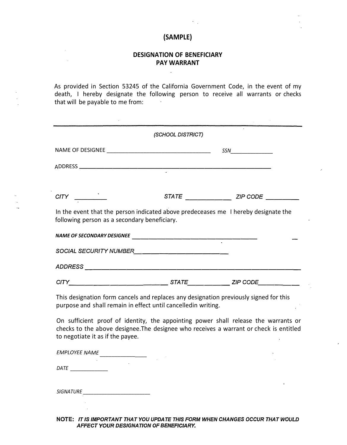### **(SAMPLE)**

#### **DESIGNATION OF BENEFICIARY PAY WARRANT**

 $\sim$ 

As provided in Section 53245 of the California Government Code, in the event of my death, I hereby designate the following person to receive all warrants or checks that will be payable to me from:

|                                                                                                                                                                                                                   | (SCHOOL DISTRICT)                      |     |
|-------------------------------------------------------------------------------------------------------------------------------------------------------------------------------------------------------------------|----------------------------------------|-----|
|                                                                                                                                                                                                                   |                                        | SSN |
|                                                                                                                                                                                                                   |                                        |     |
|                                                                                                                                                                                                                   |                                        |     |
|                                                                                                                                                                                                                   | STATE _______________________ ZIP CODE |     |
| In the event that the person indicated above predeceases me I hereby designate the<br>following person as a secondary beneficiary.                                                                                |                                        |     |
|                                                                                                                                                                                                                   |                                        |     |
|                                                                                                                                                                                                                   |                                        |     |
|                                                                                                                                                                                                                   |                                        |     |
|                                                                                                                                                                                                                   |                                        |     |
| This designation form cancels and replaces any designation previously signed for this<br>purpose and shall remain in effect until cancelledin writing.                                                            |                                        |     |
| On sufficient proof of identity, the appointing power shall release the warrants or<br>checks to the above designee. The designee who receives a warrant or check is entitled<br>to negotiate it as if the payee. |                                        |     |
| EMPLOYEE NAME                                                                                                                                                                                                     |                                        |     |
|                                                                                                                                                                                                                   |                                        |     |
|                                                                                                                                                                                                                   |                                        |     |

**NOTE:** *IT IS IMPORTANT THAT YOU UPDATE THIS FORM WHEN CHANGES OCCUR THAT WOULD AFFECT YOUR DESIGNATION OF BENEFICIARY.*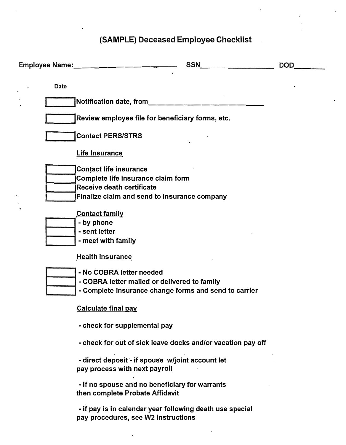## **(SAMPLE) Deceased Employee Checklist**

 $\ddot{\phantom{a}}$ 

| SSN Production of the state of the state of the state of the state of the state of the state of the state of the state of the state of the state of the state of the state of the state of the state of the state of the state | <b>DOD</b> |
|--------------------------------------------------------------------------------------------------------------------------------------------------------------------------------------------------------------------------------|------------|
| <b>Date</b>                                                                                                                                                                                                                    |            |
| Notification date, from_______                                                                                                                                                                                                 |            |
| Review employee file for beneficiary forms, etc.                                                                                                                                                                               |            |
| <b>Contact PERS/STRS</b>                                                                                                                                                                                                       |            |
| Life Insurance                                                                                                                                                                                                                 |            |
| <b>Contact life insurance</b><br>Complete life insurance claim form                                                                                                                                                            |            |
| Receive death certificate                                                                                                                                                                                                      |            |
| <b>Finalize claim and send to insurance company</b>                                                                                                                                                                            |            |
| <b>Contact family</b>                                                                                                                                                                                                          |            |
| - by phone                                                                                                                                                                                                                     |            |
| - sent letter                                                                                                                                                                                                                  |            |
| - meet with family                                                                                                                                                                                                             |            |
| <b>Health Insurance</b>                                                                                                                                                                                                        |            |
| - No COBRA letter needed                                                                                                                                                                                                       |            |
| - COBRA letter mailed or delivered to family                                                                                                                                                                                   |            |
| - Complete insurance change forms and send to carrier                                                                                                                                                                          |            |
| <u>Calculate final pay</u>                                                                                                                                                                                                     |            |
| - check for supplemental pay                                                                                                                                                                                                   |            |
| - check for out of sick leave docks and/or vacation pay off                                                                                                                                                                    |            |
| - direct deposit - if spouse w/joint account let<br>pay process with next payroll                                                                                                                                              |            |
| - if no spouse and no beneficiary for warrants<br>then complete Probate Affidavit                                                                                                                                              |            |
|                                                                                                                                                                                                                                |            |

**- if pay is in calendar year following death use special pay procedures, see W2 instructions**

 $\ddot{\phantom{a}}$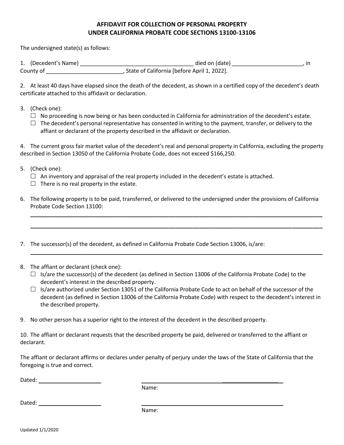### **AFFIDAVIT FOR COLLECTION OF PERSONAL PROPERTY UNDER CALIFORNIA PROBATE CODE SECTIONS 13100-13106**

The undersigned state(s) as follows:

| 1. (Decedent's Name) | died on (date)                              |  |
|----------------------|---------------------------------------------|--|
| County of            | State of California [before April 1, 2022]. |  |

2. At least 40 days have elapsed since the death of the decedent, as shown in a certified copy of the decedent's death certificate attached to this affidavit or declaration.

- 3. (Check one):
	- $\Box$  No proceeding is now being or has been conducted in California for administration of the decedent's estate.
	- $\Box$  The decedent's personal representative has consented in writing to the payment, transfer, or delivery to the affiant or declarant of the property described in the affidavit or declaration.

4. The current gross fair market value of the decedent's real and personal property in California, excluding the property described in Section 13050 of the California Probate Code, does not exceed \$166,250.

- 5. (Check one):
	- $\Box$  An inventory and appraisal of the real property included in the decedent's estate is attached.
	- $\Box$  There is no real property in the estate.
- 6. The following property is to be paid, transferred, or delivered to the undersigned under the provisions of California Probate Code Section 13100:

**\_\_\_\_\_\_\_\_\_\_\_\_\_\_\_\_\_\_\_\_\_\_\_\_\_\_\_\_\_\_\_\_\_\_\_\_\_\_\_\_\_\_\_\_\_\_\_\_\_\_\_\_\_\_\_\_\_\_\_\_\_\_\_\_\_\_\_\_\_\_\_\_\_\_\_\_\_\_\_\_\_\_\_\_\_\_\_\_\_\_\_\_\_\_\_**

**\_\_\_\_\_\_\_\_\_\_\_\_\_\_\_\_\_\_\_\_\_\_\_\_\_\_\_\_\_\_\_\_\_\_\_\_\_\_\_\_\_\_\_\_\_\_\_\_\_\_\_\_\_\_\_\_\_\_\_\_\_\_\_\_\_\_\_\_\_\_\_\_\_\_\_\_\_\_\_\_\_\_\_\_\_\_\_\_\_\_\_\_\_\_\_**

**\_\_\_\_\_\_\_\_\_\_\_\_\_\_\_\_\_\_\_\_\_\_\_\_\_\_\_\_\_\_\_\_\_\_\_\_\_\_\_\_\_\_\_\_\_\_\_\_\_\_\_\_\_\_\_\_\_\_\_\_\_\_\_\_\_\_\_\_\_\_\_\_\_\_\_\_\_\_\_\_\_\_\_\_\_\_\_\_\_\_\_\_\_\_\_**

- 7. The successor(s) of the decedent, as defined in California Probate Code Section 13006, is/are:
- 8. The affiant or declarant (check one):
	- $\Box$  Is/are the successor(s) of the decedent (as defined in Section 13006 of the California Probate Code) to the decedent's interest in the described property.
	- $\Box$  Is/are authorized under Section 13051 of the California Probate Code to act on behalf of the successor of the decedent (as defined in Section 13006 of the California Probate Code) with respect to the decedent's interest in the described property.
- 9. No other person has a superior right to the interest of the decedent in the described property.

10. The affiant or declarant requests that the described property be paid, delivered or transferred to the affiant or declarant.

The affiant or declarant affirms or declares under penalty of perjury under the laws of the State of California that the foregoing is true and correct.

Dated: \_\_\_\_\_\_\_\_\_\_\_\_\_\_\_\_\_\_

Name:

Dated:  $\Box$ 

Name:

Updated 1/1/2020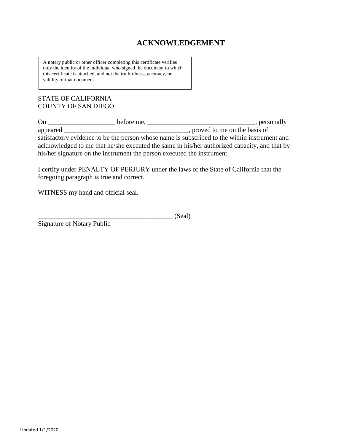### **ACKNOWLEDGEMENT**

A notary public or other officer completing this certificate verifies only the identity of the individual who signed the document to which this certificate is attached, and not the truthfulness, accuracy, or validity of that document.

### STATE OF CALIFORNIA COUNTY OF SAN DIEGO

| On                                                                      | before me, |                                                                                              | , personally |
|-------------------------------------------------------------------------|------------|----------------------------------------------------------------------------------------------|--------------|
| appeared                                                                |            | , proved to me on the basis of                                                               |              |
|                                                                         |            | satisfactory evidence to be the person whose name is subscribed to the within instrument and |              |
|                                                                         |            | acknowledged to me that he/she executed the same in his/her authorized capacity, and that by |              |
| his/her signature on the instrument the person executed the instrument. |            |                                                                                              |              |

I certify under PENALTY OF PERJURY under the laws of the State of California that the foregoing paragraph is true and correct.

WITNESS my hand and official seal.

|  | (0, 1)<br>тэеаг<br>$\omega$ un |
|--|--------------------------------|
|--|--------------------------------|

Signature of Notary Public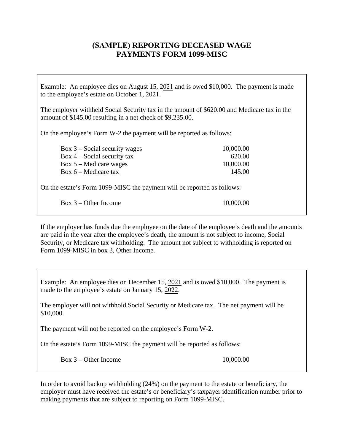### **(SAMPLE) REPORTING DECEASED WAGE PAYMENTS FORM 1099-MISC**

Example: An employee dies on August 15, 2021 and is owed \$10,000. The payment is made to the employee's estate on October 1, 2021.

The employer withheld Social Security tax in the amount of \$620.00 and Medicare tax in the amount of \$145.00 resulting in a net check of \$9,235.00.

On the employee's Form W-2 the payment will be reported as follows:

| Box $3$ – Social security wages | 10,000.00 |
|---------------------------------|-----------|
| Box $4$ – Social security tax   | 620.00    |
| $Box 5 - Medicare wages$        | 10,000.00 |
| Box $6$ – Medicare tax          | 145.00    |

On the estate's Form 1099-MISC the payment will be reported as follows:

|  | Box 3 – Other Income |
|--|----------------------|
|  |                      |

10,000.00

If the employer has funds due the employee on the date of the employee's death and the amounts are paid in the year after the employee's death, the amount is not subject to income, Social Security, or Medicare tax withholding. The amount not subject to withholding is reported on Form 1099-MISC in box 3, Other Income.

Example: An employee dies on December 15, 2021 and is owed \$10,000. The payment is made to the employee's estate on January 15, 2022.

The employer will not withhold Social Security or Medicare tax. The net payment will be \$10,000.

The payment will not be reported on the employee's Form W-2.

On the estate's Form 1099-MISC the payment will be reported as follows:

Box 3 – Other Income 10,000.00

In order to avoid backup withholding (24%) on the payment to the estate or beneficiary, the employer must have received the estate's or beneficiary's taxpayer identification number prior to making payments that are subject to reporting on Form 1099-MISC.